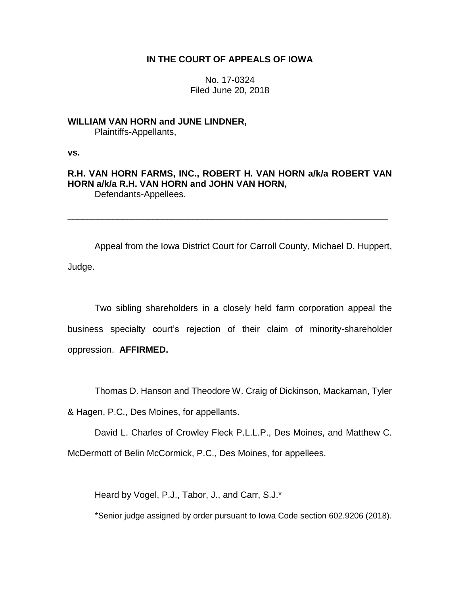# **IN THE COURT OF APPEALS OF IOWA**

No. 17-0324 Filed June 20, 2018

**WILLIAM VAN HORN and JUNE LINDNER,** Plaintiffs-Appellants,

**vs.**

**R.H. VAN HORN FARMS, INC., ROBERT H. VAN HORN a/k/a ROBERT VAN HORN a/k/a R.H. VAN HORN and JOHN VAN HORN,** Defendants-Appellees.

\_\_\_\_\_\_\_\_\_\_\_\_\_\_\_\_\_\_\_\_\_\_\_\_\_\_\_\_\_\_\_\_\_\_\_\_\_\_\_\_\_\_\_\_\_\_\_\_\_\_\_\_\_\_\_\_\_\_\_\_\_\_\_\_

Appeal from the Iowa District Court for Carroll County, Michael D. Huppert, Judge.

Two sibling shareholders in a closely held farm corporation appeal the business specialty court's rejection of their claim of minority-shareholder oppression. **AFFIRMED.** 

Thomas D. Hanson and Theodore W. Craig of Dickinson, Mackaman, Tyler

& Hagen, P.C., Des Moines, for appellants.

David L. Charles of Crowley Fleck P.L.L.P., Des Moines, and Matthew C.

McDermott of Belin McCormick, P.C., Des Moines, for appellees.

Heard by Vogel, P.J., Tabor, J., and Carr, S.J.\*

\*Senior judge assigned by order pursuant to Iowa Code section 602.9206 (2018).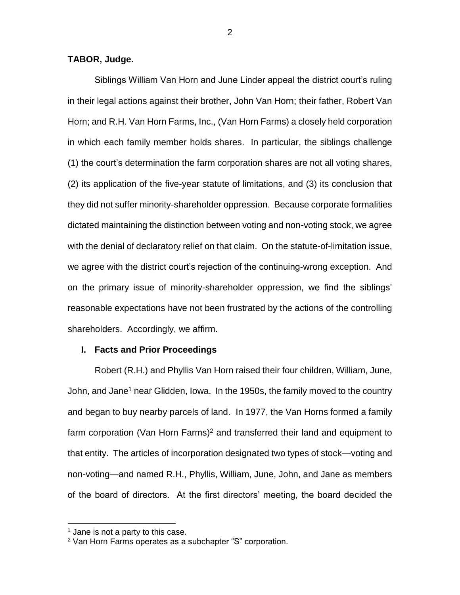# **TABOR, Judge.**

Siblings William Van Horn and June Linder appeal the district court's ruling in their legal actions against their brother, John Van Horn; their father, Robert Van Horn; and R.H. Van Horn Farms, Inc., (Van Horn Farms) a closely held corporation in which each family member holds shares. In particular, the siblings challenge (1) the court's determination the farm corporation shares are not all voting shares, (2) its application of the five-year statute of limitations, and (3) its conclusion that they did not suffer minority-shareholder oppression. Because corporate formalities dictated maintaining the distinction between voting and non-voting stock, we agree with the denial of declaratory relief on that claim. On the statute-of-limitation issue, we agree with the district court's rejection of the continuing-wrong exception. And on the primary issue of minority-shareholder oppression, we find the siblings' reasonable expectations have not been frustrated by the actions of the controlling shareholders. Accordingly, we affirm.

### **I. Facts and Prior Proceedings**

Robert (R.H.) and Phyllis Van Horn raised their four children, William, June, John, and Jane<sup>1</sup> near Glidden, Iowa. In the 1950s, the family moved to the country and began to buy nearby parcels of land. In 1977, the Van Horns formed a family farm corporation (Van Horn Farms)<sup>2</sup> and transferred their land and equipment to that entity. The articles of incorporation designated two types of stock—voting and non-voting—and named R.H., Phyllis, William, June, John, and Jane as members of the board of directors. At the first directors' meeting, the board decided the

 $<sup>1</sup>$  Jane is not a party to this case.</sup>

<sup>2</sup> Van Horn Farms operates as a subchapter "S" corporation.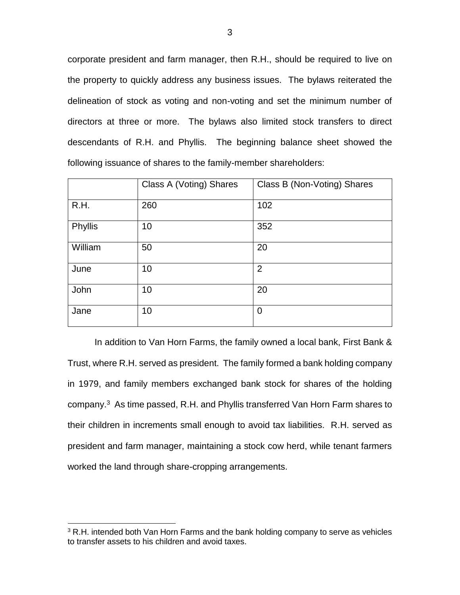corporate president and farm manager, then R.H., should be required to live on the property to quickly address any business issues. The bylaws reiterated the delineation of stock as voting and non-voting and set the minimum number of directors at three or more. The bylaws also limited stock transfers to direct descendants of R.H. and Phyllis. The beginning balance sheet showed the following issuance of shares to the family-member shareholders:

|         | Class A (Voting) Shares | Class B (Non-Voting) Shares |
|---------|-------------------------|-----------------------------|
| R.H.    | 260                     | 102                         |
| Phyllis | 10                      | 352                         |
| William | 50                      | 20                          |
| June    | 10                      | $\overline{2}$              |
| John    | 10                      | 20                          |
| Jane    | 10                      | $\mathbf 0$                 |

In addition to Van Horn Farms, the family owned a local bank, First Bank & Trust, where R.H. served as president. The family formed a bank holding company in 1979, and family members exchanged bank stock for shares of the holding company.<sup>3</sup> As time passed, R.H. and Phyllis transferred Van Horn Farm shares to their children in increments small enough to avoid tax liabilities. R.H. served as president and farm manager, maintaining a stock cow herd, while tenant farmers worked the land through share-cropping arrangements.

<sup>&</sup>lt;sup>3</sup> R.H. intended both Van Horn Farms and the bank holding company to serve as vehicles to transfer assets to his children and avoid taxes.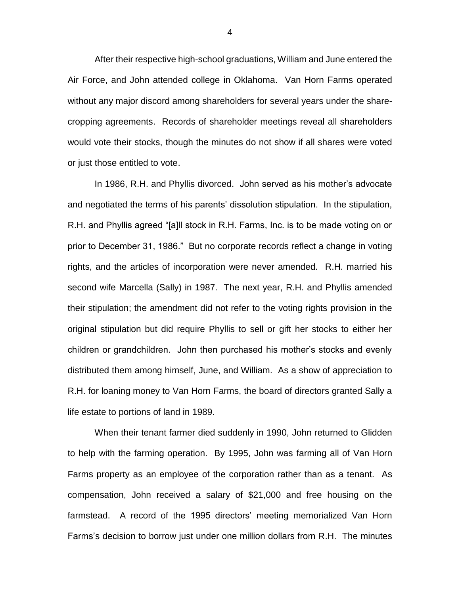After their respective high-school graduations, William and June entered the Air Force, and John attended college in Oklahoma. Van Horn Farms operated without any major discord among shareholders for several years under the sharecropping agreements. Records of shareholder meetings reveal all shareholders would vote their stocks, though the minutes do not show if all shares were voted or just those entitled to vote.

In 1986, R.H. and Phyllis divorced. John served as his mother's advocate and negotiated the terms of his parents' dissolution stipulation. In the stipulation, R.H. and Phyllis agreed "[a]ll stock in R.H. Farms, Inc. is to be made voting on or prior to December 31, 1986." But no corporate records reflect a change in voting rights, and the articles of incorporation were never amended. R.H. married his second wife Marcella (Sally) in 1987. The next year, R.H. and Phyllis amended their stipulation; the amendment did not refer to the voting rights provision in the original stipulation but did require Phyllis to sell or gift her stocks to either her children or grandchildren. John then purchased his mother's stocks and evenly distributed them among himself, June, and William. As a show of appreciation to R.H. for loaning money to Van Horn Farms, the board of directors granted Sally a life estate to portions of land in 1989.

When their tenant farmer died suddenly in 1990, John returned to Glidden to help with the farming operation. By 1995, John was farming all of Van Horn Farms property as an employee of the corporation rather than as a tenant. As compensation, John received a salary of \$21,000 and free housing on the farmstead. A record of the 1995 directors' meeting memorialized Van Horn Farms's decision to borrow just under one million dollars from R.H. The minutes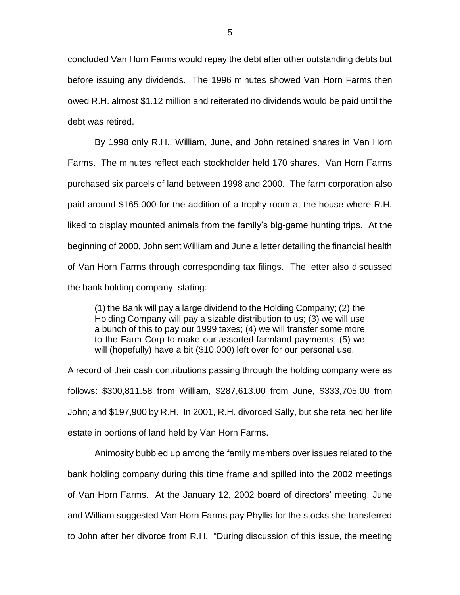concluded Van Horn Farms would repay the debt after other outstanding debts but before issuing any dividends. The 1996 minutes showed Van Horn Farms then owed R.H. almost \$1.12 million and reiterated no dividends would be paid until the debt was retired.

By 1998 only R.H., William, June, and John retained shares in Van Horn Farms. The minutes reflect each stockholder held 170 shares. Van Horn Farms purchased six parcels of land between 1998 and 2000. The farm corporation also paid around \$165,000 for the addition of a trophy room at the house where R.H. liked to display mounted animals from the family's big-game hunting trips. At the beginning of 2000, John sent William and June a letter detailing the financial health of Van Horn Farms through corresponding tax filings. The letter also discussed the bank holding company, stating:

(1) the Bank will pay a large dividend to the Holding Company; (2) the Holding Company will pay a sizable distribution to us; (3) we will use a bunch of this to pay our 1999 taxes; (4) we will transfer some more to the Farm Corp to make our assorted farmland payments; (5) we will (hopefully) have a bit (\$10,000) left over for our personal use.

A record of their cash contributions passing through the holding company were as follows: \$300,811.58 from William, \$287,613.00 from June, \$333,705.00 from John; and \$197,900 by R.H. In 2001, R.H. divorced Sally, but she retained her life estate in portions of land held by Van Horn Farms.

Animosity bubbled up among the family members over issues related to the bank holding company during this time frame and spilled into the 2002 meetings of Van Horn Farms. At the January 12, 2002 board of directors' meeting, June and William suggested Van Horn Farms pay Phyllis for the stocks she transferred to John after her divorce from R.H. "During discussion of this issue, the meeting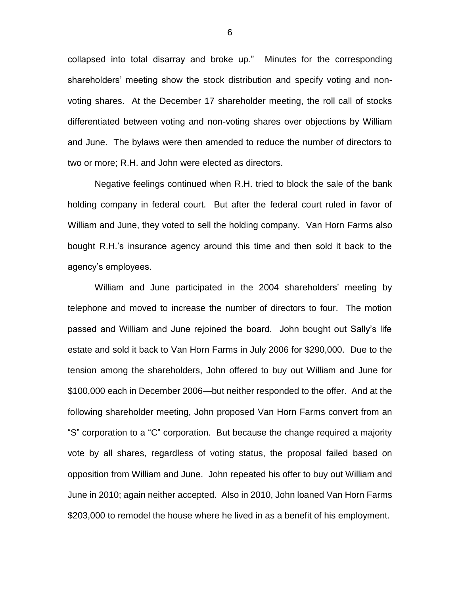collapsed into total disarray and broke up." Minutes for the corresponding shareholders' meeting show the stock distribution and specify voting and nonvoting shares. At the December 17 shareholder meeting, the roll call of stocks differentiated between voting and non-voting shares over objections by William and June. The bylaws were then amended to reduce the number of directors to two or more; R.H. and John were elected as directors.

Negative feelings continued when R.H. tried to block the sale of the bank holding company in federal court. But after the federal court ruled in favor of William and June, they voted to sell the holding company. Van Horn Farms also bought R.H.'s insurance agency around this time and then sold it back to the agency's employees.

William and June participated in the 2004 shareholders' meeting by telephone and moved to increase the number of directors to four. The motion passed and William and June rejoined the board. John bought out Sally's life estate and sold it back to Van Horn Farms in July 2006 for \$290,000. Due to the tension among the shareholders, John offered to buy out William and June for \$100,000 each in December 2006—but neither responded to the offer. And at the following shareholder meeting, John proposed Van Horn Farms convert from an "S" corporation to a "C" corporation. But because the change required a majority vote by all shares, regardless of voting status, the proposal failed based on opposition from William and June. John repeated his offer to buy out William and June in 2010; again neither accepted. Also in 2010, John loaned Van Horn Farms \$203,000 to remodel the house where he lived in as a benefit of his employment.

6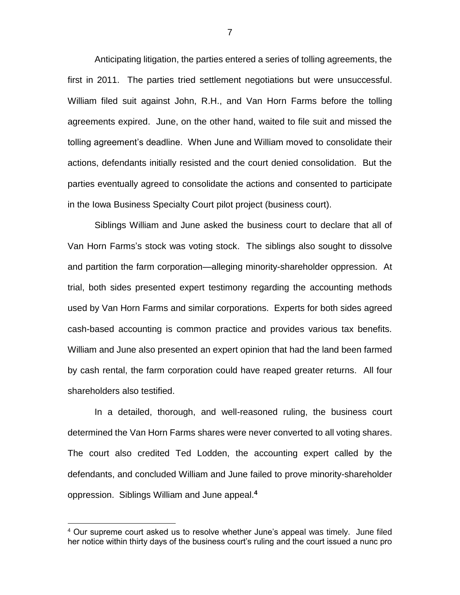Anticipating litigation, the parties entered a series of tolling agreements, the first in 2011. The parties tried settlement negotiations but were unsuccessful. William filed suit against John, R.H., and Van Horn Farms before the tolling agreements expired. June, on the other hand, waited to file suit and missed the tolling agreement's deadline. When June and William moved to consolidate their actions, defendants initially resisted and the court denied consolidation. But the parties eventually agreed to consolidate the actions and consented to participate in the Iowa Business Specialty Court pilot project (business court).

Siblings William and June asked the business court to declare that all of Van Horn Farms's stock was voting stock. The siblings also sought to dissolve and partition the farm corporation—alleging minority-shareholder oppression. At trial, both sides presented expert testimony regarding the accounting methods used by Van Horn Farms and similar corporations. Experts for both sides agreed cash-based accounting is common practice and provides various tax benefits. William and June also presented an expert opinion that had the land been farmed by cash rental, the farm corporation could have reaped greater returns. All four shareholders also testified.

In a detailed, thorough, and well-reasoned ruling, the business court determined the Van Horn Farms shares were never converted to all voting shares. The court also credited Ted Lodden, the accounting expert called by the defendants, and concluded William and June failed to prove minority-shareholder oppression. Siblings William and June appeal. **4**

<sup>&</sup>lt;sup>4</sup> Our supreme court asked us to resolve whether June's appeal was timely. June filed her notice within thirty days of the business court's ruling and the court issued a nunc pro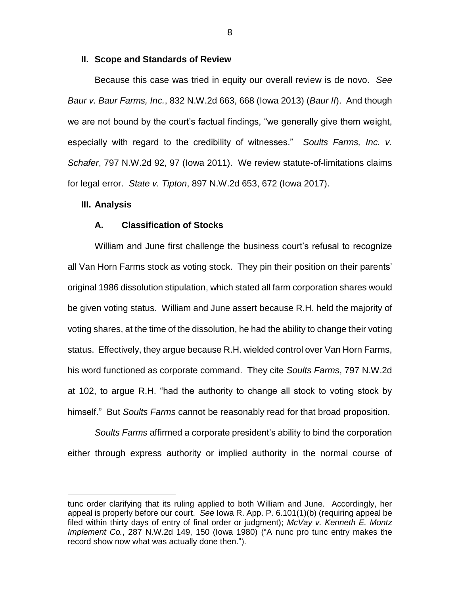### **II. Scope and Standards of Review**

Because this case was tried in equity our overall review is de novo. *See Baur v. Baur Farms, Inc.*, 832 N.W.2d 663, 668 (Iowa 2013) (*Baur II*). And though we are not bound by the court's factual findings, "we generally give them weight, especially with regard to the credibility of witnesses." *Soults Farms, Inc. v. Schafer*, 797 N.W.2d 92, 97 (Iowa 2011). We review statute-of-limitations claims for legal error. *State v. Tipton*, 897 N.W.2d 653, 672 (Iowa 2017).

#### **III. Analysis**

 $\overline{a}$ 

### **A. Classification of Stocks**

William and June first challenge the business court's refusal to recognize all Van Horn Farms stock as voting stock. They pin their position on their parents' original 1986 dissolution stipulation, which stated all farm corporation shares would be given voting status. William and June assert because R.H. held the majority of voting shares, at the time of the dissolution, he had the ability to change their voting status. Effectively, they argue because R.H. wielded control over Van Horn Farms, his word functioned as corporate command. They cite *Soults Farms*, 797 N.W.2d at 102, to argue R.H. "had the authority to change all stock to voting stock by himself." But *Soults Farms* cannot be reasonably read for that broad proposition.

*Soults Farms* affirmed a corporate president's ability to bind the corporation either through express authority or implied authority in the normal course of

8

tunc order clarifying that its ruling applied to both William and June. Accordingly, her appeal is properly before our court. *See* Iowa R. App. P. 6.101(1)(b) (requiring appeal be filed within thirty days of entry of final order or judgment); *McVay v. Kenneth E. Montz Implement Co.*, 287 N.W.2d 149, 150 (Iowa 1980) ("A nunc pro tunc entry makes the record show now what was actually done then.").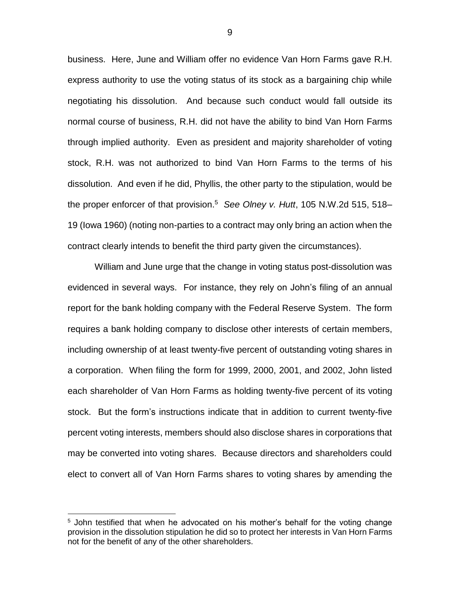business. Here, June and William offer no evidence Van Horn Farms gave R.H. express authority to use the voting status of its stock as a bargaining chip while negotiating his dissolution. And because such conduct would fall outside its normal course of business, R.H. did not have the ability to bind Van Horn Farms through implied authority. Even as president and majority shareholder of voting stock, R.H. was not authorized to bind Van Horn Farms to the terms of his dissolution. And even if he did, Phyllis, the other party to the stipulation, would be the proper enforcer of that provision.<sup>5</sup> See Olney v. Hutt, 105 N.W.2d 515, 518– 19 (Iowa 1960) (noting non-parties to a contract may only bring an action when the contract clearly intends to benefit the third party given the circumstances).

William and June urge that the change in voting status post-dissolution was evidenced in several ways. For instance, they rely on John's filing of an annual report for the bank holding company with the Federal Reserve System. The form requires a bank holding company to disclose other interests of certain members, including ownership of at least twenty-five percent of outstanding voting shares in a corporation. When filing the form for 1999, 2000, 2001, and 2002, John listed each shareholder of Van Horn Farms as holding twenty-five percent of its voting stock. But the form's instructions indicate that in addition to current twenty-five percent voting interests, members should also disclose shares in corporations that may be converted into voting shares. Because directors and shareholders could elect to convert all of Van Horn Farms shares to voting shares by amending the

 $5$  John testified that when he advocated on his mother's behalf for the voting change provision in the dissolution stipulation he did so to protect her interests in Van Horn Farms not for the benefit of any of the other shareholders.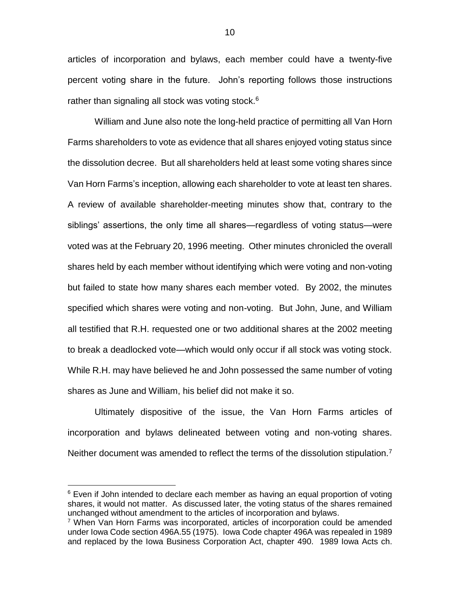articles of incorporation and bylaws, each member could have a twenty-five percent voting share in the future. John's reporting follows those instructions rather than signaling all stock was voting stock. $6$ 

William and June also note the long-held practice of permitting all Van Horn Farms shareholders to vote as evidence that all shares enjoyed voting status since the dissolution decree. But all shareholders held at least some voting shares since Van Horn Farms's inception, allowing each shareholder to vote at least ten shares. A review of available shareholder-meeting minutes show that, contrary to the siblings' assertions, the only time all shares—regardless of voting status—were voted was at the February 20, 1996 meeting. Other minutes chronicled the overall shares held by each member without identifying which were voting and non-voting but failed to state how many shares each member voted. By 2002, the minutes specified which shares were voting and non-voting. But John, June, and William all testified that R.H. requested one or two additional shares at the 2002 meeting to break a deadlocked vote—which would only occur if all stock was voting stock. While R.H. may have believed he and John possessed the same number of voting shares as June and William, his belief did not make it so.

Ultimately dispositive of the issue, the Van Horn Farms articles of incorporation and bylaws delineated between voting and non-voting shares. Neither document was amended to reflect the terms of the dissolution stipulation.<sup>7</sup>

 $6$  Even if John intended to declare each member as having an equal proportion of voting shares, it would not matter. As discussed later, the voting status of the shares remained unchanged without amendment to the articles of incorporation and bylaws.

<sup>&</sup>lt;sup>7</sup> When Van Horn Farms was incorporated, articles of incorporation could be amended under Iowa Code section 496A.55 (1975). Iowa Code chapter 496A was repealed in 1989 and replaced by the Iowa Business Corporation Act, chapter 490. 1989 Iowa Acts ch.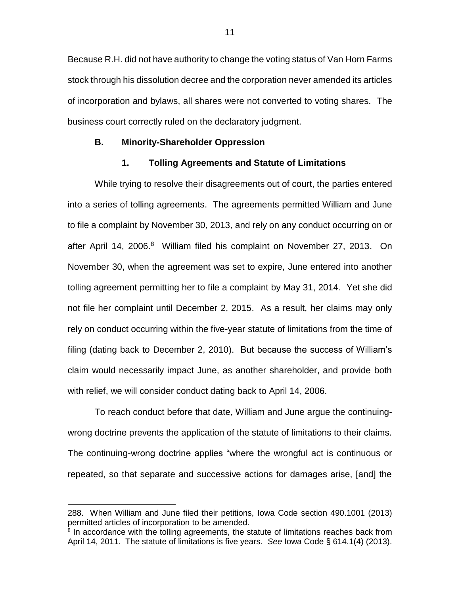Because R.H. did not have authority to change the voting status of Van Horn Farms stock through his dissolution decree and the corporation never amended its articles of incorporation and bylaws, all shares were not converted to voting shares. The business court correctly ruled on the declaratory judgment.

### **B. Minority-Shareholder Oppression**

# **1. Tolling Agreements and Statute of Limitations**

While trying to resolve their disagreements out of court, the parties entered into a series of tolling agreements. The agreements permitted William and June to file a complaint by November 30, 2013, and rely on any conduct occurring on or after April 14, 2006.<sup>8</sup> William filed his complaint on November 27, 2013. On November 30, when the agreement was set to expire, June entered into another tolling agreement permitting her to file a complaint by May 31, 2014. Yet she did not file her complaint until December 2, 2015. As a result, her claims may only rely on conduct occurring within the five-year statute of limitations from the time of filing (dating back to December 2, 2010). But because the success of William's claim would necessarily impact June, as another shareholder, and provide both with relief, we will consider conduct dating back to April 14, 2006.

To reach conduct before that date, William and June argue the continuingwrong doctrine prevents the application of the statute of limitations to their claims. The continuing-wrong doctrine applies "where the wrongful act is continuous or repeated, so that separate and successive actions for damages arise, [and] the

<sup>288.</sup> When William and June filed their petitions, Iowa Code section 490.1001 (2013) permitted articles of incorporation to be amended.

<sup>&</sup>lt;sup>8</sup> In accordance with the tolling agreements, the statute of limitations reaches back from April 14, 2011. The statute of limitations is five years. *See* Iowa Code § 614.1(4) (2013).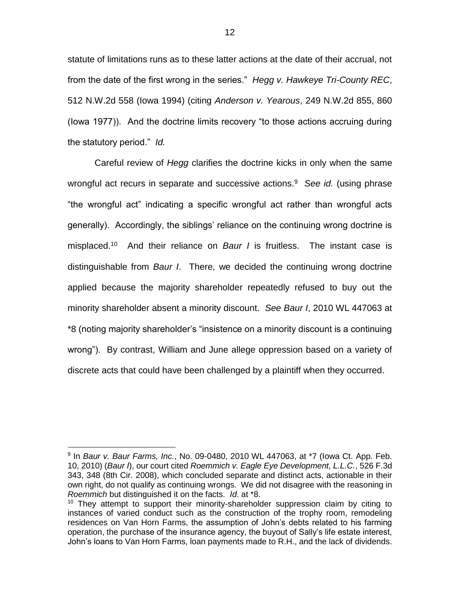statute of limitations runs as to these latter actions at the date of their accrual, not from the date of the first wrong in the series." *Hegg v. Hawkeye Tri-County REC*, 512 N.W.2d 558 (Iowa 1994) (citing *Anderson v. Yearous*, 249 N.W.2d 855, 860 (Iowa 1977)). And the doctrine limits recovery "to those actions accruing during the statutory period." *Id.*

Careful review of *Hegg* clarifies the doctrine kicks in only when the same wrongful act recurs in separate and successive actions.<sup>9</sup> See id. (using phrase "the wrongful act" indicating a specific wrongful act rather than wrongful acts generally). Accordingly, the siblings' reliance on the continuing wrong doctrine is misplaced.<sup>10</sup> And their reliance on *Baur I* is fruitless. The instant case is distinguishable from *Baur I*. There, we decided the continuing wrong doctrine applied because the majority shareholder repeatedly refused to buy out the minority shareholder absent a minority discount. *See Baur I*, 2010 WL 447063 at \*8 (noting majority shareholder's "insistence on a minority discount is a continuing wrong"). By contrast, William and June allege oppression based on a variety of discrete acts that could have been challenged by a plaintiff when they occurred.

<sup>9</sup> In *Baur v. Baur Farms, Inc.*, No. 09-0480, 2010 WL 447063, at \*7 (Iowa Ct. App. Feb. 10, 2010) (*Baur I*), our court cited *Roemmich v. Eagle Eye Development, L.L.C.*, 526 F.3d 343, 348 (8th Cir. 2008), which concluded separate and distinct acts, actionable in their own right, do not qualify as continuing wrongs. We did not disagree with the reasoning in *Roemmich* but distinguished it on the facts. *Id*. at \*8.

 $10$  They attempt to support their minority-shareholder suppression claim by citing to instances of varied conduct such as the construction of the trophy room, remodeling residences on Van Horn Farms, the assumption of John's debts related to his farming operation, the purchase of the insurance agency, the buyout of Sally's life estate interest, John's loans to Van Horn Farms, loan payments made to R.H., and the lack of dividends.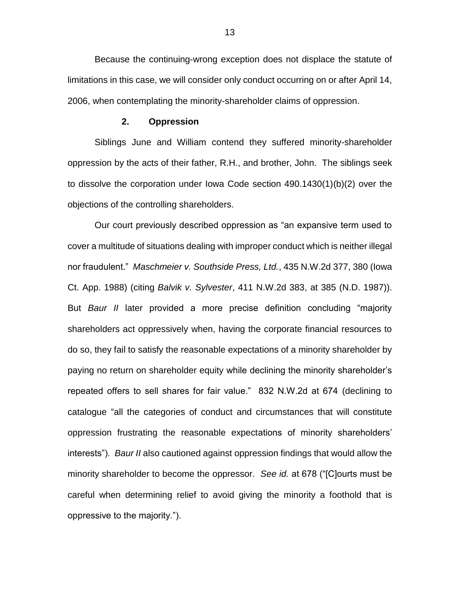Because the continuing-wrong exception does not displace the statute of limitations in this case, we will consider only conduct occurring on or after April 14, 2006, when contemplating the minority-shareholder claims of oppression.

### **2. Oppression**

Siblings June and William contend they suffered minority-shareholder oppression by the acts of their father, R.H., and brother, John. The siblings seek to dissolve the corporation under Iowa Code section 490.1430(1)(b)(2) over the objections of the controlling shareholders.

Our court previously described oppression as "an expansive term used to cover a multitude of situations dealing with improper conduct which is neither illegal nor fraudulent." *Maschmeier v. Southside Press, Ltd.*, 435 N.W.2d 377, 380 (Iowa Ct. App. 1988) (citing *Balvik v. Sylvester*, 411 N.W.2d 383, at 385 (N.D. 1987)). But *Baur II* later provided a more precise definition concluding "majority shareholders act oppressively when, having the corporate financial resources to do so, they fail to satisfy the reasonable expectations of a minority shareholder by paying no return on shareholder equity while declining the minority shareholder's repeated offers to sell shares for fair value." 832 N.W.2d at 674 (declining to catalogue "all the categories of conduct and circumstances that will constitute oppression frustrating the reasonable expectations of minority shareholders' interests"). *Baur II* also cautioned against oppression findings that would allow the minority shareholder to become the oppressor. *See id.* at 678 ("[C]ourts must be careful when determining relief to avoid giving the minority a foothold that is oppressive to the majority.").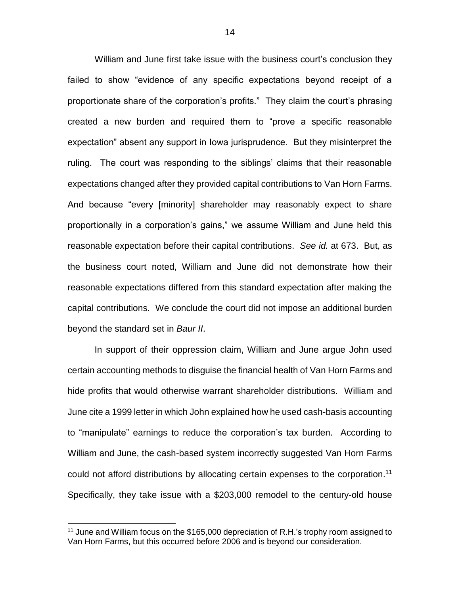William and June first take issue with the business court's conclusion they failed to show "evidence of any specific expectations beyond receipt of a proportionate share of the corporation's profits." They claim the court's phrasing created a new burden and required them to "prove a specific reasonable expectation" absent any support in Iowa jurisprudence. But they misinterpret the ruling. The court was responding to the siblings' claims that their reasonable expectations changed after they provided capital contributions to Van Horn Farms. And because "every [minority] shareholder may reasonably expect to share proportionally in a corporation's gains," we assume William and June held this reasonable expectation before their capital contributions. *See id.* at 673. But, as the business court noted, William and June did not demonstrate how their reasonable expectations differed from this standard expectation after making the capital contributions. We conclude the court did not impose an additional burden beyond the standard set in *Baur II*.

In support of their oppression claim, William and June argue John used certain accounting methods to disguise the financial health of Van Horn Farms and hide profits that would otherwise warrant shareholder distributions. William and June cite a 1999 letter in which John explained how he used cash-basis accounting to "manipulate" earnings to reduce the corporation's tax burden. According to William and June, the cash-based system incorrectly suggested Van Horn Farms could not afford distributions by allocating certain expenses to the corporation. 11 Specifically, they take issue with a \$203,000 remodel to the century-old house

<sup>&</sup>lt;sup>11</sup> June and William focus on the \$165,000 depreciation of R.H.'s trophy room assigned to Van Horn Farms, but this occurred before 2006 and is beyond our consideration.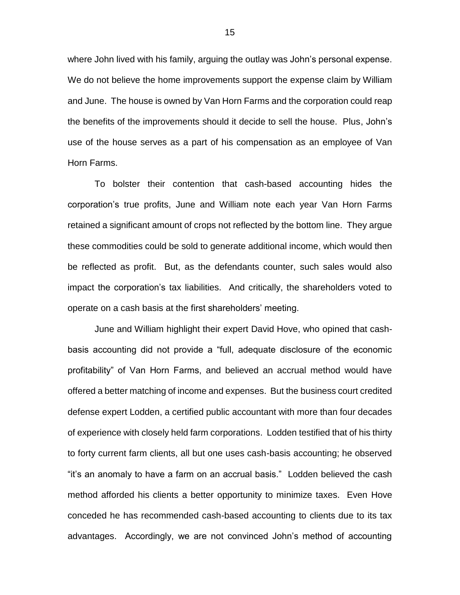where John lived with his family, arguing the outlay was John's personal expense. We do not believe the home improvements support the expense claim by William and June. The house is owned by Van Horn Farms and the corporation could reap the benefits of the improvements should it decide to sell the house. Plus, John's use of the house serves as a part of his compensation as an employee of Van Horn Farms.

To bolster their contention that cash-based accounting hides the corporation's true profits, June and William note each year Van Horn Farms retained a significant amount of crops not reflected by the bottom line. They argue these commodities could be sold to generate additional income, which would then be reflected as profit. But, as the defendants counter, such sales would also impact the corporation's tax liabilities. And critically, the shareholders voted to operate on a cash basis at the first shareholders' meeting.

June and William highlight their expert David Hove, who opined that cashbasis accounting did not provide a "full, adequate disclosure of the economic profitability" of Van Horn Farms, and believed an accrual method would have offered a better matching of income and expenses. But the business court credited defense expert Lodden, a certified public accountant with more than four decades of experience with closely held farm corporations. Lodden testified that of his thirty to forty current farm clients, all but one uses cash-basis accounting; he observed "it's an anomaly to have a farm on an accrual basis." Lodden believed the cash method afforded his clients a better opportunity to minimize taxes. Even Hove conceded he has recommended cash-based accounting to clients due to its tax advantages. Accordingly, we are not convinced John's method of accounting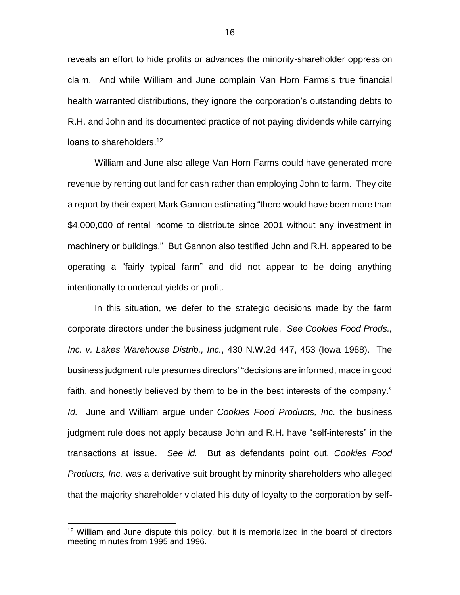reveals an effort to hide profits or advances the minority-shareholder oppression claim. And while William and June complain Van Horn Farms's true financial health warranted distributions, they ignore the corporation's outstanding debts to R.H. and John and its documented practice of not paying dividends while carrying loans to shareholders.<sup>12</sup>

William and June also allege Van Horn Farms could have generated more revenue by renting out land for cash rather than employing John to farm. They cite a report by their expert Mark Gannon estimating "there would have been more than \$4,000,000 of rental income to distribute since 2001 without any investment in machinery or buildings." But Gannon also testified John and R.H. appeared to be operating a "fairly typical farm" and did not appear to be doing anything intentionally to undercut yields or profit.

In this situation, we defer to the strategic decisions made by the farm corporate directors under the business judgment rule. *See Cookies Food Prods., Inc. v. Lakes Warehouse Distrib., Inc.*, 430 N.W.2d 447, 453 (Iowa 1988). The business judgment rule presumes directors' "decisions are informed, made in good faith, and honestly believed by them to be in the best interests of the company." *Id.* June and William argue under *Cookies Food Products, Inc.* the business judgment rule does not apply because John and R.H. have "self-interests" in the transactions at issue. *See id.* But as defendants point out, *Cookies Food Products, Inc.* was a derivative suit brought by minority shareholders who alleged that the majority shareholder violated his duty of loyalty to the corporation by self-

<sup>&</sup>lt;sup>12</sup> William and June dispute this policy, but it is memorialized in the board of directors meeting minutes from 1995 and 1996.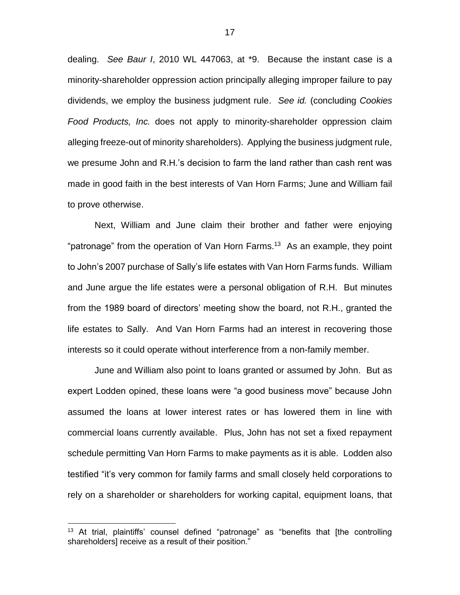dealing. *See Baur I*, 2010 WL 447063, at \*9. Because the instant case is a minority-shareholder oppression action principally alleging improper failure to pay dividends, we employ the business judgment rule. *See id.* (concluding *Cookies Food Products, Inc.* does not apply to minority-shareholder oppression claim alleging freeze-out of minority shareholders). Applying the business judgment rule, we presume John and R.H.'s decision to farm the land rather than cash rent was made in good faith in the best interests of Van Horn Farms; June and William fail to prove otherwise.

Next, William and June claim their brother and father were enjoying "patronage" from the operation of Van Horn Farms.<sup>13</sup> As an example, they point to John's 2007 purchase of Sally's life estates with Van Horn Farms funds. William and June argue the life estates were a personal obligation of R.H. But minutes from the 1989 board of directors' meeting show the board, not R.H., granted the life estates to Sally. And Van Horn Farms had an interest in recovering those interests so it could operate without interference from a non-family member.

June and William also point to loans granted or assumed by John. But as expert Lodden opined, these loans were "a good business move" because John assumed the loans at lower interest rates or has lowered them in line with commercial loans currently available. Plus, John has not set a fixed repayment schedule permitting Van Horn Farms to make payments as it is able. Lodden also testified "it's very common for family farms and small closely held corporations to rely on a shareholder or shareholders for working capital, equipment loans, that

<sup>&</sup>lt;sup>13</sup> At trial, plaintiffs' counsel defined "patronage" as "benefits that [the controlling shareholders] receive as a result of their position."